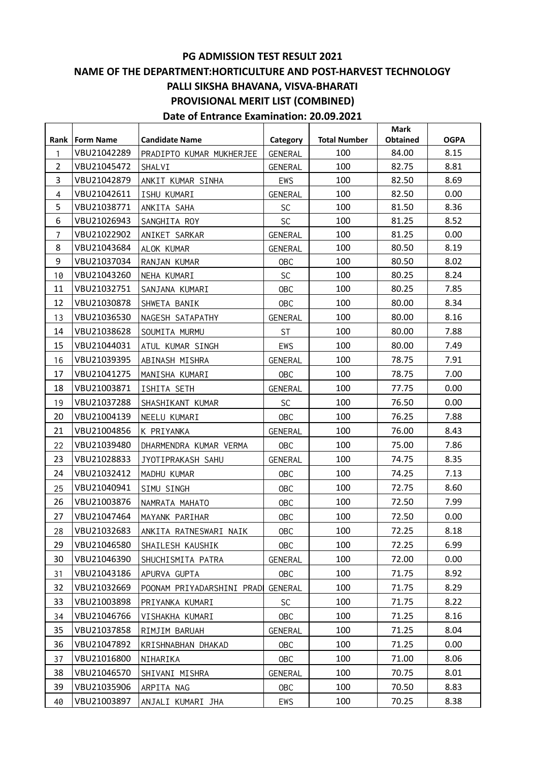#### **PG ADMISSION TEST RESULT 2021 NAME OF THE DEPARTMENT:HORTICULTURE AND POST-HARVEST TECHNOLOGY**

### **PALLI SIKSHA BHAVANA, VISVA-BHARATI**

### **PROVISIONAL MERIT LIST (COMBINED)**

|                |                  |                           |                |                     | <b>Mark</b> |             |
|----------------|------------------|---------------------------|----------------|---------------------|-------------|-------------|
| Rank           | <b>Form Name</b> | <b>Candidate Name</b>     | Category       | <b>Total Number</b> | Obtained    | <b>OGPA</b> |
| $\mathbf{1}$   | VBU21042289      | PRADIPTO KUMAR MUKHERJEE  | <b>GENERAL</b> | 100                 | 84.00       | 8.15        |
| $\overline{2}$ | VBU21045472      | SHALVI                    | GENERAL        | 100                 | 82.75       | 8.81        |
| 3              | VBU21042879      | ANKIT KUMAR SINHA         | EWS            | 100                 | 82.50       | 8.69        |
| $\overline{4}$ | VBU21042611      | ISHU KUMARI               | GENERAL        | 100                 | 82.50       | 0.00        |
| 5              | VBU21038771      | ANKITA SAHA               | <b>SC</b>      | 100                 | 81.50       | 8.36        |
| 6              | VBU21026943      | SANGHITA ROY              | <b>SC</b>      | 100                 | 81.25       | 8.52        |
| $\overline{7}$ | VBU21022902      | ANIKET SARKAR             | <b>GENERAL</b> | 100                 | 81.25       | 0.00        |
| 8              | VBU21043684      | ALOK KUMAR                | <b>GENERAL</b> | 100                 | 80.50       | 8.19        |
| 9              | VBU21037034      | RANJAN KUMAR              | <b>OBC</b>     | 100                 | 80.50       | 8.02        |
| 10             | VBU21043260      | NEHA KUMARI               | <b>SC</b>      | 100                 | 80.25       | 8.24        |
| 11             | VBU21032751      | SANJANA KUMARI            | OBC            | 100                 | 80.25       | 7.85        |
| 12             | VBU21030878      | SHWETA BANIK              | OBC            | 100                 | 80.00       | 8.34        |
| 13             | VBU21036530      | NAGESH SATAPATHY          | <b>GENERAL</b> | 100                 | 80.00       | 8.16        |
| 14             | VBU21038628      | SOUMITA MURMU             | <b>ST</b>      | 100                 | 80.00       | 7.88        |
| 15             | VBU21044031      | ATUL KUMAR SINGH          | EWS            | 100                 | 80.00       | 7.49        |
| 16             | VBU21039395      | ABINASH MISHRA            | GENERAL        | 100                 | 78.75       | 7.91        |
| 17             | VBU21041275      | MANISHA KUMARI            | <b>OBC</b>     | 100                 | 78.75       | 7.00        |
| 18             | VBU21003871      | ISHITA SETH               | GENERAL        | 100                 | 77.75       | 0.00        |
| 19             | VBU21037288      | SHASHIKANT KUMAR          | <b>SC</b>      | 100                 | 76.50       | 0.00        |
| 20             | VBU21004139      | NEELU KUMARI              | OBC            | 100                 | 76.25       | 7.88        |
| 21             | VBU21004856      | K PRIYANKA                | GENERAL        | 100                 | 76.00       | 8.43        |
| 22             | VBU21039480      | DHARMENDRA KUMAR VERMA    | <b>OBC</b>     | 100                 | 75.00       | 7.86        |
| 23             | VBU21028833      | JYOTIPRAKASH SAHU         | GENERAL        | 100                 | 74.75       | 8.35        |
| 24             | VBU21032412      | MADHU KUMAR               | <b>OBC</b>     | 100                 | 74.25       | 7.13        |
| 25             | VBU21040941      | SIMU SINGH                | OBC            | 100                 | 72.75       | 8.60        |
| 26             | VBU21003876      | NAMRATA MAHATO            | OBC            | 100                 | 72.50       | 7.99        |
| 27             | VBU21047464      | MAYANK PARIHAR            | OBC            | 100                 | 72.50       | 0.00        |
| 28             | VBU21032683      | ANKITA RATNESWARI NAIK    | <b>OBC</b>     | 100                 | 72.25       | 8.18        |
| 29             | VBU21046580      | SHAILESH KAUSHIK          | <b>OBC</b>     | 100                 | 72.25       | 6.99        |
| 30             | VBU21046390      | SHUCHISMITA PATRA         | GENERAL        | 100                 | 72.00       | 0.00        |
| 31             | VBU21043186      | APURVA GUPTA              | 0BC            | 100                 | 71.75       | 8.92        |
| 32             | VBU21032669      | POONAM PRIYADARSHINI PRAD | GENERAL        | 100                 | 71.75       | 8.29        |
| 33             | VBU21003898      | PRIYANKA KUMARI           | <b>SC</b>      | 100                 | 71.75       | 8.22        |
| 34             | VBU21046766      | VISHAKHA KUMARI           | <b>OBC</b>     | 100                 | 71.25       | 8.16        |
| 35             | VBU21037858      | RIMJIM BARUAH             | GENERAL        | 100                 | 71.25       | 8.04        |
| 36             | VBU21047892      | KRISHNABHAN DHAKAD        | <b>OBC</b>     | 100                 | 71.25       | 0.00        |
| 37             | VBU21016800      | NIHARIKA                  | <b>OBC</b>     | 100                 | 71.00       | 8.06        |
| 38             | VBU21046570      |                           |                | 100                 | 70.75       | 8.01        |
|                |                  | SHIVANI MISHRA            | GENERAL        |                     |             |             |
| 39             | VBU21035906      | ARPITA NAG                | <b>OBC</b>     | 100                 | 70.50       | 8.83        |
| 40             | VBU21003897      | ANJALI KUMARI JHA         | EWS            | 100                 | 70.25       | 8.38        |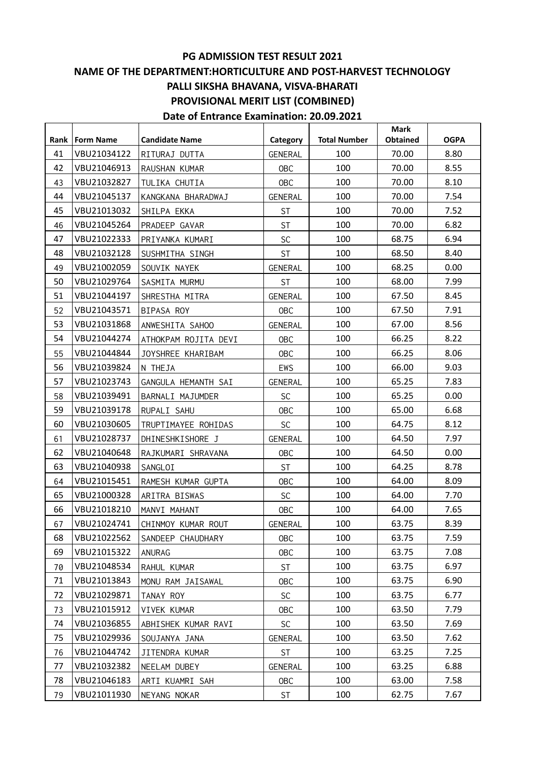#### **PG ADMISSION TEST RESULT 2021 NAME OF THE DEPARTMENT:HORTICULTURE AND POST-HARVEST TECHNOLOGY**

#### **PALLI SIKSHA BHAVANA, VISVA-BHARATI**

#### **PROVISIONAL MERIT LIST (COMBINED)**

| Rank | <b>Form Name</b> | <b>Candidate Name</b> | Category       | <b>Total Number</b> | <b>Mark</b><br>Obtained | <b>OGPA</b> |
|------|------------------|-----------------------|----------------|---------------------|-------------------------|-------------|
| 41   | VBU21034122      | RITURAJ DUTTA         | <b>GENERAL</b> | 100                 | 70.00                   | 8.80        |
| 42   | VBU21046913      | RAUSHAN KUMAR         | <b>OBC</b>     | 100                 | 70.00                   | 8.55        |
| 43   | VBU21032827      | TULIKA CHUTIA         | <b>OBC</b>     | 100                 | 70.00                   | 8.10        |
| 44   | VBU21045137      | KANGKANA BHARADWAJ    | GENERAL        | 100                 | 70.00                   | 7.54        |
| 45   | VBU21013032      | SHILPA EKKA           | <b>ST</b>      | 100                 | 70.00                   | 7.52        |
| 46   | VBU21045264      | PRADEEP GAVAR         | <b>ST</b>      | 100                 | 70.00                   | 6.82        |
| 47   | VBU21022333      | PRIYANKA KUMARI       | SC             | 100                 | 68.75                   | 6.94        |
| 48   | VBU21032128      | SUSHMITHA SINGH       | <b>ST</b>      | 100                 | 68.50                   | 8.40        |
| 49   | VBU21002059      | SOUVIK NAYEK          | GENERAL        | 100                 | 68.25                   | 0.00        |
| 50   | VBU21029764      | SASMITA MURMU         | <b>ST</b>      | 100                 | 68.00                   | 7.99        |
| 51   | VBU21044197      | SHRESTHA MITRA        | <b>GENERAL</b> | 100                 | 67.50                   | 8.45        |
| 52   | VBU21043571      | BIPASA ROY            | <b>OBC</b>     | 100                 | 67.50                   | 7.91        |
| 53   | VBU21031868      | ANWESHITA SAHOO       | GENERAL        | 100                 | 67.00                   | 8.56        |
| 54   | VBU21044274      | ATHOKPAM ROJITA DEVI  | <b>OBC</b>     | 100                 | 66.25                   | 8.22        |
| 55   | VBU21044844      | JOYSHREE KHARIBAM     | <b>OBC</b>     | 100                 | 66.25                   | 8.06        |
| 56   | VBU21039824      | N THEJA               | EWS            | 100                 | 66.00                   | 9.03        |
| 57   | VBU21023743      | GANGULA HEMANTH SAI   | <b>GENERAL</b> | 100                 | 65.25                   | 7.83        |
| 58   | VBU21039491      | BARNALI MAJUMDER      | <b>SC</b>      | 100                 | 65.25                   | 0.00        |
| 59   | VBU21039178      | RUPALI SAHU           | <b>OBC</b>     | 100                 | 65.00                   | 6.68        |
| 60   | VBU21030605      | TRUPTIMAYEE ROHIDAS   | <b>SC</b>      | 100                 | 64.75                   | 8.12        |
| 61   | VBU21028737      | DHINESHKISHORE J      | <b>GENERAL</b> | 100                 | 64.50                   | 7.97        |
| 62   | VBU21040648      | RAJKUMARI SHRAVANA    | <b>OBC</b>     | 100                 | 64.50                   | 0.00        |
| 63   | VBU21040938      | SANGLOI               | <b>ST</b>      | 100                 | 64.25                   | 8.78        |
| 64   | VBU21015451      | RAMESH KUMAR GUPTA    | <b>OBC</b>     | 100                 | 64.00                   | 8.09        |
| 65   | VBU21000328      | ARITRA BISWAS         | <b>SC</b>      | 100                 | 64.00                   | 7.70        |
| 66   | VBU21018210      | MANVI MAHANT          | <b>OBC</b>     | 100                 | 64.00                   | 7.65        |
| 67   | VBU21024741      | CHINMOY KUMAR ROUT    | <b>GENERAL</b> | 100                 | 63.75                   | 8.39        |
| 68   | VBU21022562      | SANDEEP CHAUDHARY     | <b>OBC</b>     | 100                 | 63.75                   | 7.59        |
| 69   | VBU21015322      | ANURAG                | <b>OBC</b>     | 100                 | 63.75                   | 7.08        |
| 70   | VBU21048534      | RAHUL KUMAR           | <b>ST</b>      | 100                 | 63.75                   | 6.97        |
| 71   | VBU21013843      | MONU RAM JAISAWAL     | <b>OBC</b>     | 100                 | 63.75                   | 6.90        |
| 72   | VBU21029871      | TANAY ROY             | <b>SC</b>      | 100                 | 63.75                   | 6.77        |
| 73   | VBU21015912      | VIVEK KUMAR           | <b>OBC</b>     | 100                 | 63.50                   | 7.79        |
| 74   | VBU21036855      | ABHISHEK KUMAR RAVI   | SC             | 100                 | 63.50                   | 7.69        |
| 75   | VBU21029936      | SOUJANYA JANA         | <b>GENERAL</b> | 100                 | 63.50                   | 7.62        |
| 76   | VBU21044742      | JITENDRA KUMAR        | <b>ST</b>      | 100                 | 63.25                   | 7.25        |
| 77   | VBU21032382      | NEELAM DUBEY          | <b>GENERAL</b> | 100                 | 63.25                   | 6.88        |
| 78   | VBU21046183      | ARTI KUAMRI SAH       | <b>OBC</b>     | 100                 | 63.00                   | 7.58        |
| 79   | VBU21011930      | NEYANG NOKAR          | <b>ST</b>      | 100                 | 62.75                   | 7.67        |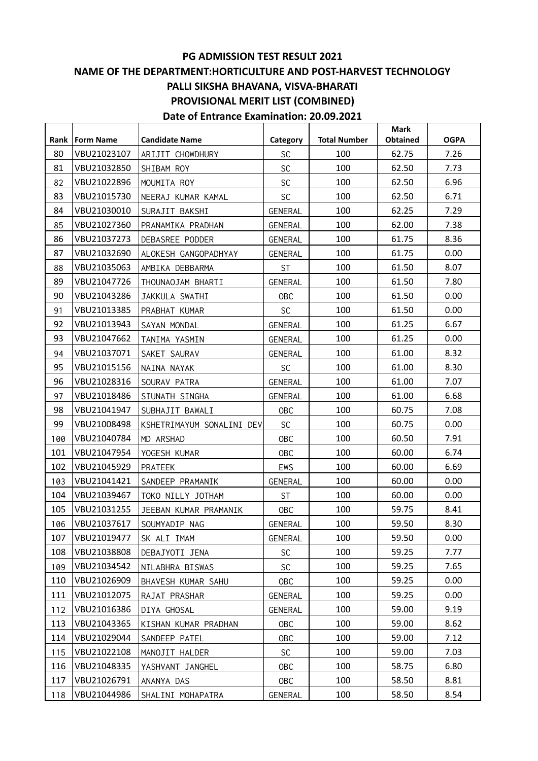**Date of Entrance Examination: 20.09.2021**

**Rank Form Name Candidate Name Category Total Number Mark Obtained OGPA** 80 VBU21023107 ARIJIT CHOWDHURY | SC | 100 | 62.75 | 7.26 81 VBU21032850 SHIBAM ROY 62.50 7.73 82 VBU21022896 MOUMITA ROY | SC | 100 | 62.50 | 6.96 83 VBU21015730 NEERAJ KUMAR KAMAL 1 SC 100 100 62.50 6.71 84 VBU21030010 SURAJIT BAKSHI GENERAL 100 62.25 7.29 85 VBU21027360 PRANAMIKA PRADHAN | GENERAL | 100 | 62.00 | 7.38 86 VBU21037273 DEBASREE PODDER | GENERAL | 100 | 61.75 | 8.36 87 VBU21032690 ALOKESH GANGOPADHYAY | GENERAL | 100 | 61.75 | 0.00 88 VBU21035063 AMBIKA DEBBARMA | ST | 100 | 61.50 | 8.07 89 VBU21047726 THOUNAOJAM BHARTI (GENERAL 100 | 61.50 | 7.80 90 VBU21043286 JAKKULA SWATHI OBC 100 61.50 0.00 91 | VBU21013385 | PRABHAT KUMAR | SC | 100 | 61.50 | 0.00 92 VBU21013943 SAYAN MONDAL (GENERAL 100 61.25 6.67 93 VBU21047662 TANIMA YASMIN GENERAL 100 61.25 0.00 94 VBU21037071 SAKET SAURAV GENERAL 100 61.00 8.32 95 VBU21015156 NAINA NAYAK SC 100 61.00 8.30 96 VBU21028316 SOURAV PATRA GENERAL 100 61.00 7.07 97 VBU21018486 SIUNATH SINGHA GENERAL 100 61.00 6.68 98 VBU21041947 SUBHAJIT BAWALI OBC 100 60.75 7.08 99 VBU21008498 KSHETRIMAYUM SONALINI DEV SC | 100 | 60.75 | 0.00 100 VBU21040784 MD ARSHAD 10BC 100 100 60.50 7.91 101 VBU21047954 YOGESH KUMAR | OBC | 100 | 60.00 | 6.74 102 VBU21045929 PRATEEK HEWS HEWS 100 60.00 669 103 VBU21041421 SANDEEP PRAMANIK | GENERAL | 100 | 60.00 | 0.00 104 VBU21039467 TOKO NILLY JOTHAM | ST | 100 | 60.00 | 0.00 105 | VBU21031255 | JEEBAN KUMAR PRAMANIK | OBC | 100 | 59.75 | 8.41 106 VBU21037617 SOUMYADIP NAG (GENERAL 100 | 59.50 | 8.30 107 VBU21019477 SK ALI IMAM | GENERAL | 100 | 59.50 | 0.00 108 VBU21038808 DEBAJYOTI JENA | SC | 100 | 59.25 | 7.77 109 | VBU21034542 | NILABHRA BISWAS | SC | 100 | 59.25 | 7.65 110 VBU21026909 BHAVESH KUMAR SAHU | OBC | 100 | 59.25 | 0.00 111 | VBU21012075 | RAJAT PRASHAR | GENERAL | 100 | 59.25 | 0.00 112 VBU21016386 DIYA GHOSAL (GENERAL 100 | 59.00 | 9.19 113 | VBU21043365 | KISHAN KUMAR PRADHAN | OBC | 100 | 59.00 | 8.62 114 VBU21029044 SANDEEP PATEL 10BC | 100 | 59.00 | 7.12 115 VBU21022108 MANOJIT HALDER | SC | 100 | 59.00 | 7.03 116 VBU21048335 YASHVANT JANGHEL | OBC | 100 | 58.75 | 6.80 117 | VBU21026791 | ANANYA DAS | OBC | 100 | 58.50 | 8.81 118 VBU21044986 SHALINI MOHAPATRA | GENERAL | 100 | 58.50 | 8.54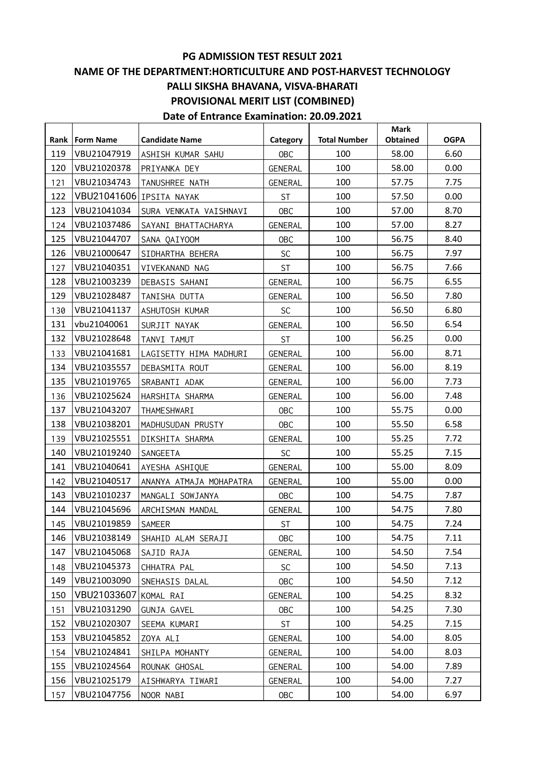# **PG ADMISSION TEST RESULT 2021**

#### **NAME OF THE DEPARTMENT:HORTICULTURE AND POST-HARVEST TECHNOLOGY PALLI SIKSHA BHAVANA, VISVA-BHARATI PROVISIONAL MERIT LIST (COMBINED)**

|      |             |                         |            |                     | <b>Mark</b>     |             |
|------|-------------|-------------------------|------------|---------------------|-----------------|-------------|
| Rank | Form Name   | <b>Candidate Name</b>   | Category   | <b>Total Number</b> | <b>Obtained</b> | <b>OGPA</b> |
| 119  | VBU21047919 | ASHISH KUMAR SAHU       | OBC        | 100                 | 58.00           | 6.60        |
| 120  | VBU21020378 | PRIYANKA DEY            | GENERAL    | 100                 | 58.00           | 0.00        |
| 121  | VBU21034743 | TANUSHREE NATH          | GENERAL    | 100                 | 57.75           | 7.75        |
| 122  | VBU21041606 | IPSITA NAYAK            | <b>ST</b>  | 100                 | 57.50           | 0.00        |
| 123  | VBU21041034 | SURA VENKATA VAISHNAVI  | <b>OBC</b> | 100                 | 57.00           | 8.70        |
| 124  | VBU21037486 | SAYANI BHATTACHARYA     | GENERAL    | 100                 | 57.00           | 8.27        |
| 125  | VBU21044707 | SANA QAIYOOM            | <b>OBC</b> | 100                 | 56.75           | 8.40        |
| 126  | VBU21000647 | SIDHARTHA BEHERA        | <b>SC</b>  | 100                 | 56.75           | 7.97        |
| 127  | VBU21040351 | VIVEKANAND NAG          | <b>ST</b>  | 100                 | 56.75           | 7.66        |
| 128  | VBU21003239 | DEBASIS SAHANI          | GENERAL    | 100                 | 56.75           | 6.55        |
| 129  | VBU21028487 | TANISHA DUTTA           | GENERAL    | 100                 | 56.50           | 7.80        |
| 130  | VBU21041137 | ASHUTOSH KUMAR          | <b>SC</b>  | 100                 | 56.50           | 6.80        |
| 131  | vbu21040061 | SURJIT NAYAK            | GENERAL    | 100                 | 56.50           | 6.54        |
| 132  | VBU21028648 | TANVI TAMUT             | <b>ST</b>  | 100                 | 56.25           | 0.00        |
| 133  | VBU21041681 | LAGISETTY HIMA MADHURI  | GENERAL    | 100                 | 56.00           | 8.71        |
| 134  | VBU21035557 | DEBASMITA ROUT          | GENERAL    | 100                 | 56.00           | 8.19        |
| 135  | VBU21019765 | SRABANTI ADAK           | GENERAL    | 100                 | 56.00           | 7.73        |
| 136  | VBU21025624 | HARSHITA SHARMA         | GENERAL    | 100                 | 56.00           | 7.48        |
| 137  | VBU21043207 | THAMESHWARI             | <b>OBC</b> | 100                 | 55.75           | 0.00        |
| 138  | VBU21038201 | MADHUSUDAN PRUSTY       | OBC        | 100                 | 55.50           | 6.58        |
| 139  | VBU21025551 | DIKSHITA SHARMA         | GENERAL    | 100                 | 55.25           | 7.72        |
| 140  | VBU21019240 | SANGEETA                | <b>SC</b>  | 100                 | 55.25           | 7.15        |
| 141  | VBU21040641 | AYESHA ASHIQUE          | GENERAL    | 100                 | 55.00           | 8.09        |
| 142  | VBU21040517 | ANANYA ATMAJA MOHAPATRA | GENERAL    | 100                 | 55.00           | 0.00        |
| 143  | VBU21010237 | MANGALI SOWJANYA        | OBC        | 100                 | 54.75           | 7.87        |
| 144  | VBU21045696 | ARCHISMAN MANDAL        | GENERAL    | 100                 | 54.75           | 7.80        |
| 145  | VBU21019859 | <b>SAMEER</b>           | <b>ST</b>  | 100                 | 54.75           | 7.24        |
| 146  | VBU21038149 | SHAHID ALAM SERAJI      | <b>OBC</b> | 100                 | 54.75           | 7.11        |
| 147  | VBU21045068 | SAJID RAJA              | GENERAL    | 100                 | 54.50           | 7.54        |
| 148  | VBU21045373 | CHHATRA PAL             | <b>SC</b>  | 100                 | 54.50           | 7.13        |
| 149  | VBU21003090 | SNEHASIS DALAL          | <b>OBC</b> | 100                 | 54.50           | 7.12        |
| 150  | VBU21033607 | KOMAL RAI               | GENERAL    | 100                 | 54.25           | 8.32        |
| 151  | VBU21031290 | GUNJA GAVEL             | <b>OBC</b> | 100                 | 54.25           | 7.30        |
| 152  | VBU21020307 | SEEMA KUMARI            | <b>ST</b>  | 100                 | 54.25           | 7.15        |
| 153  | VBU21045852 | ZOYA ALI                | GENERAL    | 100                 | 54.00           | 8.05        |
| 154  | VBU21024841 | SHILPA MOHANTY          | GENERAL    | 100                 | 54.00           | 8.03        |
| 155  | VBU21024564 | ROUNAK GHOSAL           | GENERAL    | 100                 | 54.00           | 7.89        |
| 156  | VBU21025179 | AISHWARYA TIWARI        | GENERAL    | 100                 | 54.00           | 7.27        |
| 157  | VBU21047756 | NOOR NABI               | <b>OBC</b> | 100                 | 54.00           | 6.97        |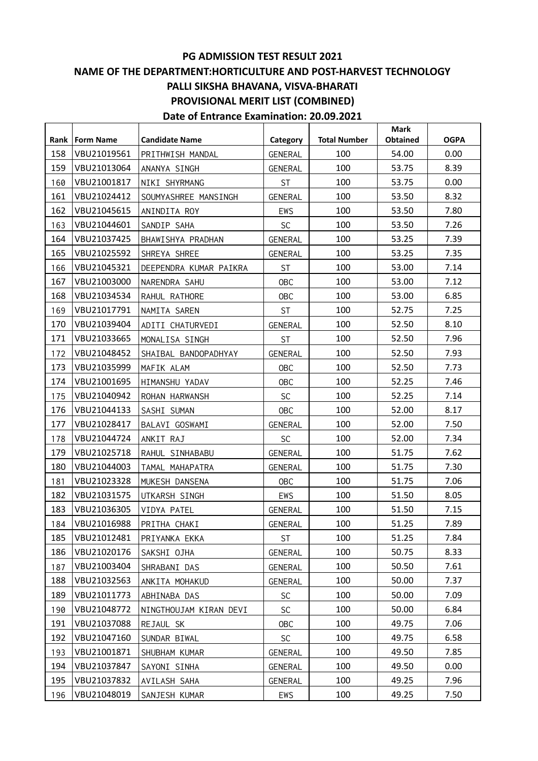| Rank<br>Form Name  | <b>Candidate Name</b>  |                     | <b>Total Number</b> | <b>Mark</b><br>Obtained | <b>OGPA</b> |
|--------------------|------------------------|---------------------|---------------------|-------------------------|-------------|
| 158<br>VBU21019561 | PRITHWISH MANDAL       | Category<br>GENERAL | 100                 | 54.00                   | 0.00        |
| 159<br>VBU21013064 | ANANYA SINGH           | GENERAL             | 100                 | 53.75                   | 8.39        |
| VBU21001817        |                        |                     | 100                 | 53.75                   | 0.00        |
| 160<br>161         | NIKI SHYRMANG          | <b>ST</b>           | 100                 |                         | 8.32        |
| VBU21024412        | SOUMYASHREE MANSINGH   | GENERAL             |                     | 53.50                   |             |
| 162<br>VBU21045615 | ANINDITA ROY           | EWS                 | 100                 | 53.50                   | 7.80        |
| VBU21044601<br>163 | SANDIP SAHA            | <b>SC</b>           | 100                 | 53.50                   | 7.26        |
| 164<br>VBU21037425 | BHAWISHYA PRADHAN      | GENERAL             | 100                 | 53.25                   | 7.39        |
| 165<br>VBU21025592 | SHREYA SHREE           | GENERAL             | 100                 | 53.25                   | 7.35        |
| VBU21045321<br>166 | DEEPENDRA KUMAR PAIKRA | <b>ST</b>           | 100                 | 53.00                   | 7.14        |
| 167<br>VBU21003000 | NARENDRA SAHU          | <b>OBC</b>          | 100                 | 53.00                   | 7.12        |
| 168<br>VBU21034534 | RAHUL RATHORE          | <b>OBC</b>          | 100                 | 53.00                   | 6.85        |
| VBU21017791<br>169 | NAMITA SAREN           | <b>ST</b>           | 100                 | 52.75                   | 7.25        |
| 170<br>VBU21039404 | ADITI CHATURVEDI       | GENERAL             | 100                 | 52.50                   | 8.10        |
| 171<br>VBU21033665 | MONALISA SINGH         | <b>ST</b>           | 100                 | 52.50                   | 7.96        |
| VBU21048452<br>172 | SHAIBAL BANDOPADHYAY   | GENERAL             | 100                 | 52.50                   | 7.93        |
| 173<br>VBU21035999 | MAFIK ALAM             | <b>OBC</b>          | 100                 | 52.50                   | 7.73        |
| 174<br>VBU21001695 | HIMANSHU YADAV         | <b>OBC</b>          | 100                 | 52.25                   | 7.46        |
| VBU21040942<br>175 | ROHAN HARWANSH         | <b>SC</b>           | 100                 | 52.25                   | 7.14        |
| 176<br>VBU21044133 | SASHI SUMAN            | <b>OBC</b>          | 100                 | 52.00                   | 8.17        |
| 177<br>VBU21028417 | BALAVI GOSWAMI         | GENERAL             | 100                 | 52.00                   | 7.50        |
| VBU21044724<br>178 | ANKIT RAJ              | <b>SC</b>           | 100                 | 52.00                   | 7.34        |
| 179<br>VBU21025718 | RAHUL SINHABABU        | GENERAL             | 100                 | 51.75                   | 7.62        |
| 180<br>VBU21044003 | TAMAL MAHAPATRA        | GENERAL             | 100                 | 51.75                   | 7.30        |
| VBU21023328<br>181 | MUKESH DANSENA         | <b>OBC</b>          | 100                 | 51.75                   | 7.06        |
| 182<br>VBU21031575 | UTKARSH SINGH          | EWS                 | 100                 | 51.50                   | 8.05        |
| 183<br>VBU21036305 | VIDYA PATEL            | <b>GENERAL</b>      | 100                 | 51.50                   | 7.15        |
| VBU21016988<br>184 | PRITHA CHAKI           | <b>GENERAL</b>      | 100                 | 51.25                   | 7.89        |
| 185<br>VBU21012481 | PRIYANKA EKKA          | ST                  | 100                 | 51.25                   | 7.84        |
| VBU21020176<br>186 | SAKSHI OJHA            | GENERAL             | 100                 | 50.75                   | 8.33        |
| VBU21003404<br>187 | SHRABANI DAS           | GENERAL             | 100                 | 50.50                   | 7.61        |
| 188<br>VBU21032563 | ANKITA MOHAKUD         | GENERAL             | 100                 | 50.00                   | 7.37        |
| 189<br>VBU21011773 | ABHINABA DAS           | <b>SC</b>           | 100                 | 50.00                   | 7.09        |
| VBU21048772<br>190 | NINGTHOUJAM KIRAN DEVI | <b>SC</b>           | 100                 | 50.00                   | 6.84        |
| 191<br>VBU21037088 | REJAUL SK              | <b>OBC</b>          | 100                 | 49.75                   | 7.06        |
| 192<br>VBU21047160 | SUNDAR BIWAL           | SC                  | 100                 | 49.75                   | 6.58        |
| VBU21001871<br>193 | SHUBHAM KUMAR          | GENERAL             | 100                 | 49.50                   | 7.85        |
| 194<br>VBU21037847 | SAYONI SINHA           | GENERAL             | 100                 | 49.50                   | 0.00        |
| 195<br>VBU21037832 | AVILASH SAHA           | GENERAL             | 100                 | 49.25                   | 7.96        |
| VBU21048019<br>196 | SANJESH KUMAR          | EWS                 | 100                 | 49.25                   | 7.50        |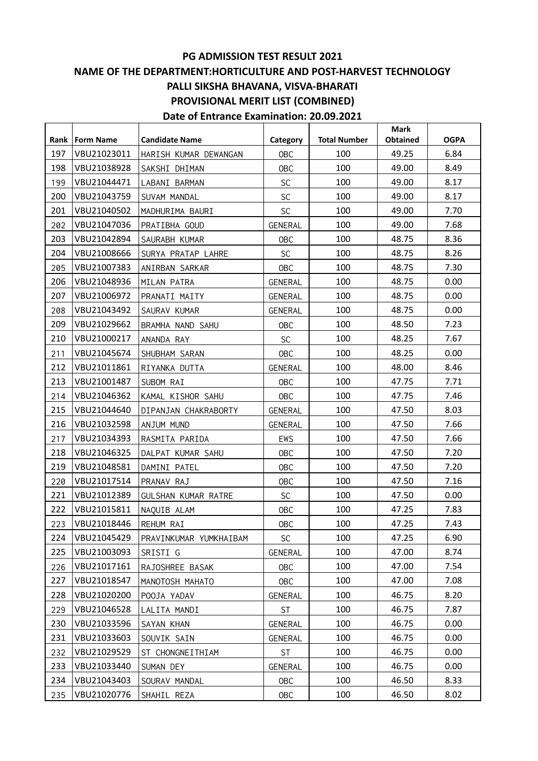| Rank | <b>Form Name</b> | <b>Candidate Name</b>  | Category       | <b>Total Number</b> | <b>Mark</b><br>Obtained | <b>OGPA</b> |
|------|------------------|------------------------|----------------|---------------------|-------------------------|-------------|
| 197  | VBU21023011      | HARISH KUMAR DEWANGAN  | OBC            | 100                 | 49.25                   | 6.84        |
| 198  | VBU21038928      | SAKSHI DHIMAN          | <b>OBC</b>     | 100                 | 49.00                   | 8.49        |
| 199  | VBU21044471      | LABANI BARMAN          | <b>SC</b>      | 100                 | 49.00                   | 8.17        |
| 200  | VBU21043759      | SUVAM MANDAL           | <b>SC</b>      | 100                 | 49.00                   | 8.17        |
| 201  | VBU21040502      | MADHURIMA BAURI        | <b>SC</b>      | 100                 | 49.00                   | 7.70        |
| 202  | VBU21047036      | PRATIBHA GOUD          | GENERAL        | 100                 | 49.00                   | 7.68        |
| 203  | VBU21042894      | SAURABH KUMAR          | OBC            | 100                 | 48.75                   | 8.36        |
| 204  | VBU21008666      | SURYA PRATAP LAHRE     | <b>SC</b>      | 100                 | 48.75                   | 8.26        |
| 205  | VBU21007383      | ANIRBAN SARKAR         | OBC            | 100                 | 48.75                   | 7.30        |
| 206  | VBU21048936      | MILAN PATRA            | GENERAL        | 100                 | 48.75                   | 0.00        |
| 207  | VBU21006972      | PRANATI MAITY          | GENERAL        | 100                 | 48.75                   | 0.00        |
| 208  | VBU21043492      | SAURAV KUMAR           | GENERAL        | 100                 | 48.75                   | 0.00        |
| 209  | VBU21029662      | BRAMHA NAND SAHU       | <b>OBC</b>     | 100                 | 48.50                   | 7.23        |
| 210  | VBU21000217      | ANANDA RAY             | <b>SC</b>      | 100                 | 48.25                   | 7.67        |
| 211  | VBU21045674      | SHUBHAM SARAN          | OBC            | 100                 | 48.25                   | 0.00        |
| 212  | VBU21011861      | RIYANKA DUTTA          | GENERAL        | 100                 | 48.00                   | 8.46        |
| 213  | VBU21001487      | SUBOM RAI              | OBC            | 100                 | 47.75                   | 7.71        |
| 214  | VBU21046362      | KAMAL KISHOR SAHU      | <b>OBC</b>     | 100                 | 47.75                   | 7.46        |
| 215  | VBU21044640      | DIPANJAN CHAKRABORTY   | GENERAL        | 100                 | 47.50                   | 8.03        |
| 216  | VBU21032598      | ANJUM MUND             | GENERAL        | 100                 | 47.50                   | 7.66        |
| 217  | VBU21034393      | RASMITA PARIDA         | EWS            | 100                 | 47.50                   | 7.66        |
| 218  | VBU21046325      | DALPAT KUMAR SAHU      | OBC            | 100                 | 47.50                   | 7.20        |
| 219  | VBU21048581      | DAMINI PATEL           | OBC            | 100                 | 47.50                   | 7.20        |
| 220  | VBU21017514      | PRANAV RAJ             | <b>OBC</b>     | 100                 | 47.50                   | 7.16        |
| 221  | VBU21012389      | GULSHAN KUMAR RATRE    | <b>SC</b>      | 100                 | 47.50                   | 0.00        |
| 222  | VBU21015811      | NAQUIB ALAM            | <b>OBC</b>     | 100                 | 47.25                   | 7.83        |
| 223  | VBU21018446      | REHUM RAI              | <b>OBC</b>     | 100                 | 47.25                   | 7.43        |
| 224  | VBU21045429      | PRAVINKUMAR YUMKHAIBAM | SC             | 100                 | 47.25                   | 6.90        |
| 225  | VBU21003093      | SRISTI G               | <b>GENERAL</b> | 100                 | 47.00                   | 8.74        |
| 226  | VBU21017161      | RAJOSHREE BASAK        | <b>OBC</b>     | 100                 | 47.00                   | 7.54        |
| 227  | VBU21018547      | MANOTOSH MAHATO        | <b>OBC</b>     | 100                 | 47.00                   | 7.08        |
| 228  | VBU21020200      | POOJA YADAV            | <b>GENERAL</b> | 100                 | 46.75                   | 8.20        |
| 229  | VBU21046528      | LALITA MANDI           | <b>ST</b>      | 100                 | 46.75                   | 7.87        |
| 230  | VBU21033596      | SAYAN KHAN             | GENERAL        | 100                 | 46.75                   | 0.00        |
| 231  | VBU21033603      | SOUVIK SAIN            | <b>GENERAL</b> | 100                 | 46.75                   | 0.00        |
| 232  | VBU21029529      | ST CHONGNEITHIAM       | <b>ST</b>      | 100                 | 46.75                   | 0.00        |
| 233  | VBU21033440      | SUMAN DEY              | GENERAL        | 100                 | 46.75                   | 0.00        |
| 234  | VBU21043403      | SOURAV MANDAL          | <b>OBC</b>     | 100                 | 46.50                   | 8.33        |
| 235  | VBU21020776      | SHAHIL REZA            | <b>OBC</b>     | 100                 | 46.50                   | 8.02        |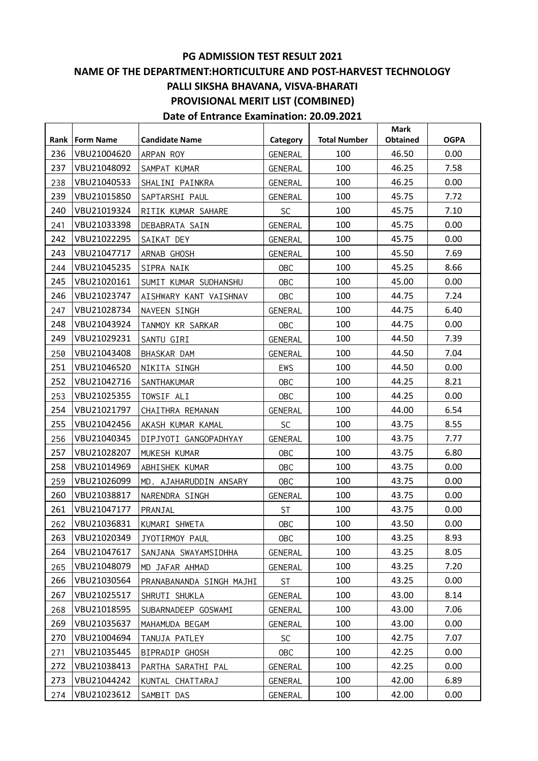#### **PG ADMISSION TEST RESULT 2021**

# **NAME OF THE DEPARTMENT:HORTICULTURE AND POST-HARVEST TECHNOLOGY PALLI SIKSHA BHAVANA, VISVA-BHARATI PROVISIONAL MERIT LIST (COMBINED)**

|     | Rank   Form Name | <b>Candidate Name</b>    | Category       | <b>Total Number</b> | <b>Mark</b><br>Obtained | <b>OGPA</b> |
|-----|------------------|--------------------------|----------------|---------------------|-------------------------|-------------|
| 236 | VBU21004620      | ARPAN ROY                | <b>GENERAL</b> | 100                 | 46.50                   | 0.00        |
| 237 | VBU21048092      | SAMPAT KUMAR             | GENERAL        | 100                 | 46.25                   | 7.58        |
| 238 | VBU21040533      | SHALINI PAINKRA          | GENERAL        | 100                 | 46.25                   | 0.00        |
| 239 | VBU21015850      | SAPTARSHI PAUL           | GENERAL        | 100                 | 45.75                   | 7.72        |
| 240 | VBU21019324      | RITIK KUMAR SAHARE       | <b>SC</b>      | 100                 | 45.75                   | 7.10        |
| 241 | VBU21033398      | DEBABRATA SAIN           | <b>GENERAL</b> | 100                 | 45.75                   | 0.00        |
| 242 | VBU21022295      | SAIKAT DEY               | <b>GENERAL</b> | 100                 | 45.75                   | 0.00        |
| 243 | VBU21047717      | ARNAB GHOSH              | <b>GENERAL</b> | 100                 | 45.50                   | 7.69        |
| 244 | VBU21045235      | SIPRA NAIK               | <b>OBC</b>     | 100                 | 45.25                   | 8.66        |
| 245 | VBU21020161      | SUMIT KUMAR SUDHANSHU    | <b>OBC</b>     | 100                 | 45.00                   | 0.00        |
| 246 | VBU21023747      | AISHWARY KANT VAISHNAV   | <b>OBC</b>     | 100                 | 44.75                   | 7.24        |
| 247 | VBU21028734      | NAVEEN SINGH             | GENERAL        | 100                 | 44.75                   | 6.40        |
| 248 | VBU21043924      | TANMOY KR SARKAR         | 0BC            | 100                 | 44.75                   | 0.00        |
| 249 | VBU21029231      | SANTU GIRI               | GENERAL        | 100                 | 44.50                   | 7.39        |
| 250 | VBU21043408      | BHASKAR DAM              | <b>GENERAL</b> | 100                 | 44.50                   | 7.04        |
| 251 | VBU21046520      | NIKITA SINGH             | EWS            | 100                 | 44.50                   | 0.00        |
| 252 | VBU21042716      | SANTHAKUMAR              | <b>OBC</b>     | 100                 | 44.25                   | 8.21        |
| 253 | VBU21025355      | TOWSIF ALI               | <b>OBC</b>     | 100                 | 44.25                   | 0.00        |
| 254 | VBU21021797      | CHAITHRA REMANAN         | GENERAL        | 100                 | 44.00                   | 6.54        |
| 255 | VBU21042456      | AKASH KUMAR KAMAL        | <b>SC</b>      | 100                 | 43.75                   | 8.55        |
| 256 | VBU21040345      | DIPJYOTI GANGOPADHYAY    | <b>GENERAL</b> | 100                 | 43.75                   | 7.77        |
| 257 | VBU21028207      | MUKESH KUMAR             | 0BC            | 100                 | 43.75                   | 6.80        |
| 258 | VBU21014969      | ABHISHEK KUMAR           | <b>OBC</b>     | 100                 | 43.75                   | 0.00        |
| 259 | VBU21026099      | MD. AJAHARUDDIN ANSARY   | <b>OBC</b>     | 100                 | 43.75                   | 0.00        |
| 260 | VBU21038817      | NARENDRA SINGH           | GENERAL        | 100                 | 43.75                   | 0.00        |
| 261 | VBU21047177      | PRANJAL                  | <b>ST</b>      | 100                 | 43.75                   | 0.00        |
| 262 | VBU21036831      | KUMARI SHWETA            | <b>OBC</b>     | 100                 | 43.50                   | 0.00        |
| 263 | VBU21020349      | JYOTIRMOY PAUL           | <b>OBC</b>     | 100                 | 43.25                   | 8.93        |
| 264 | VBU21047617      | SANJANA SWAYAMSIDHHA     | <b>GENERAL</b> | 100                 | 43.25                   | 8.05        |
| 265 | VBU21048079      | MD JAFAR AHMAD           | GENERAL        | 100                 | 43.25                   | 7.20        |
| 266 | VBU21030564      | PRANABANANDA SINGH MAJHI | ST             | 100                 | 43.25                   | 0.00        |
| 267 | VBU21025517      | SHRUTI SHUKLA            | <b>GENERAL</b> | 100                 | 43.00                   | 8.14        |
| 268 | VBU21018595      | SUBARNADEEP GOSWAMI      | <b>GENERAL</b> | 100                 | 43.00                   | 7.06        |
| 269 | VBU21035637      | MAHAMUDA BEGAM           | GENERAL        | 100                 | 43.00                   | 0.00        |
| 270 | VBU21004694      | TANUJA PATLEY            | <b>SC</b>      | 100                 | 42.75                   | 7.07        |
| 271 | VBU21035445      | BIPRADIP GHOSH           | <b>OBC</b>     | 100                 | 42.25                   | 0.00        |
| 272 | VBU21038413      | PARTHA SARATHI PAL       | <b>GENERAL</b> | 100                 | 42.25                   | 0.00        |
| 273 | VBU21044242      | KUNTAL CHATTARAJ         | <b>GENERAL</b> | 100                 | 42.00                   | 6.89        |
| 274 | VBU21023612      | SAMBIT DAS               | GENERAL        | 100                 | 42.00                   | 0.00        |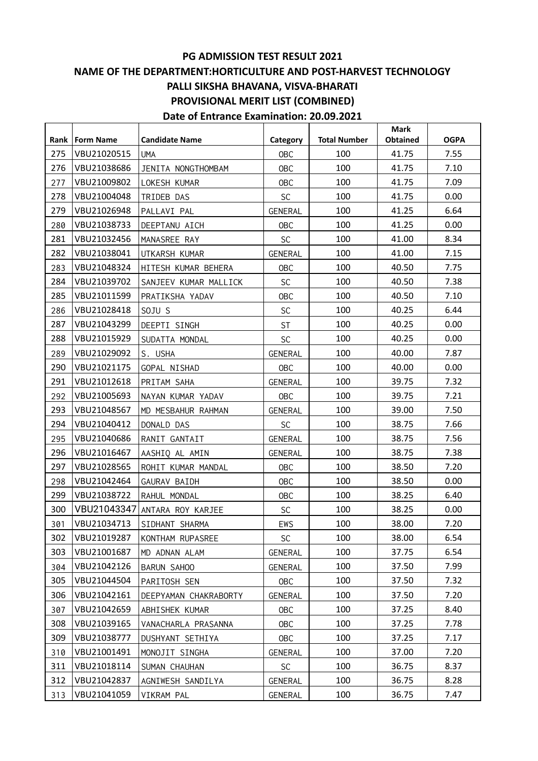#### **PG ADMISSION TEST RESULT 2021**

### **NAME OF THE DEPARTMENT:HORTICULTURE AND POST-HARVEST TECHNOLOGY PALLI SIKSHA BHAVANA, VISVA-BHARATI PROVISIONAL MERIT LIST (COMBINED)**

|     | Rank   Form Name | <b>Candidate Name</b> | Category       | <b>Total Number</b> | <b>Mark</b><br><b>Obtained</b> | <b>OGPA</b> |
|-----|------------------|-----------------------|----------------|---------------------|--------------------------------|-------------|
| 275 | VBU21020515      | <b>UMA</b>            | <b>OBC</b>     | 100                 | 41.75                          | 7.55        |
| 276 | VBU21038686      | JENITA NONGTHOMBAM    | <b>OBC</b>     | 100                 | 41.75                          | 7.10        |
| 277 | VBU21009802      | LOKESH KUMAR          | <b>OBC</b>     | 100                 | 41.75                          | 7.09        |
| 278 | VBU21004048      | TRIDEB DAS            | <b>SC</b>      | 100                 | 41.75                          | 0.00        |
| 279 | VBU21026948      | PALLAVI PAL           | <b>GENERAL</b> | 100                 | 41.25                          | 6.64        |
| 280 | VBU21038733      | DEEPTANU AICH         | <b>OBC</b>     | 100                 | 41.25                          | 0.00        |
| 281 | VBU21032456      | MANASREE RAY          | <b>SC</b>      | 100                 | 41.00                          | 8.34        |
| 282 | VBU21038041      | UTKARSH KUMAR         | <b>GENERAL</b> | 100                 | 41.00                          | 7.15        |
| 283 | VBU21048324      | HITESH KUMAR BEHERA   | <b>OBC</b>     | 100                 | 40.50                          | 7.75        |
| 284 | VBU21039702      | SANJEEV KUMAR MALLICK | <b>SC</b>      | 100                 | 40.50                          | 7.38        |
| 285 | VBU21011599      | PRATIKSHA YADAV       | <b>OBC</b>     | 100                 | 40.50                          | 7.10        |
| 286 | VBU21028418      | SOJU S                | <b>SC</b>      | 100                 | 40.25                          | 6.44        |
| 287 | VBU21043299      | DEEPTI SINGH          | <b>ST</b>      | 100                 | 40.25                          | 0.00        |
| 288 | VBU21015929      | SUDATTA MONDAL        | <b>SC</b>      | 100                 | 40.25                          | 0.00        |
| 289 | VBU21029092      | S. USHA               | <b>GENERAL</b> | 100                 | 40.00                          | 7.87        |
| 290 | VBU21021175      | GOPAL NISHAD          | <b>OBC</b>     | 100                 | 40.00                          | 0.00        |
| 291 | VBU21012618      | PRITAM SAHA           | GENERAL        | 100                 | 39.75                          | 7.32        |
| 292 | VBU21005693      | NAYAN KUMAR YADAV     | <b>OBC</b>     | 100                 | 39.75                          | 7.21        |
| 293 | VBU21048567      | MD MESBAHUR RAHMAN    | <b>GENERAL</b> | 100                 | 39.00                          | 7.50        |
| 294 | VBU21040412      | DONALD DAS            | <b>SC</b>      | 100                 | 38.75                          | 7.66        |
| 295 | VBU21040686      | RANIT GANTAIT         | <b>GENERAL</b> | 100                 | 38.75                          | 7.56        |
| 296 | VBU21016467      | AASHIQ AL AMIN        | GENERAL        | 100                 | 38.75                          | 7.38        |
| 297 | VBU21028565      | ROHIT KUMAR MANDAL    | <b>OBC</b>     | 100                 | 38.50                          | 7.20        |
| 298 | VBU21042464      | GAURAV BAIDH          | <b>OBC</b>     | 100                 | 38.50                          | 0.00        |
| 299 | VBU21038722      | RAHUL MONDAL          | <b>OBC</b>     | 100                 | 38.25                          | 6.40        |
| 300 | VBU21043347      | ANTARA ROY KARJEE     | <b>SC</b>      | 100                 | 38.25                          | 0.00        |
| 301 | VBU21034713      | SIDHANT SHARMA        | EWS            | 100                 | 38.00                          | 7.20        |
| 302 | VBU21019287      | KONTHAM RUPASREE      | <b>SC</b>      | 100                 | 38.00                          | 6.54        |
| 303 | VBU21001687      | MD ADNAN ALAM         | <b>GENERAL</b> | 100                 | 37.75                          | 6.54        |
| 304 | VBU21042126      | <b>BARUN SAHOO</b>    | GENERAL        | 100                 | 37.50                          | 7.99        |
| 305 | VBU21044504      | PARITOSH SEN          | 0BC            | 100                 | 37.50                          | 7.32        |
| 306 | VBU21042161      | DEEPYAMAN CHAKRABORTY | <b>GENERAL</b> | 100                 | 37.50                          | 7.20        |
| 307 | VBU21042659      | ABHISHEK KUMAR        | <b>OBC</b>     | 100                 | 37.25                          | 8.40        |
| 308 | VBU21039165      | VANACHARLA PRASANNA   | <b>OBC</b>     | 100                 | 37.25                          | 7.78        |
| 309 | VBU21038777      | DUSHYANT SETHIYA      | 0BC            | 100                 | 37.25                          | 7.17        |
| 310 | VBU21001491      | MONOJIT SINGHA        | GENERAL        | 100                 | 37.00                          | 7.20        |
| 311 | VBU21018114      | SUMAN CHAUHAN         | <b>SC</b>      | 100                 | 36.75                          | 8.37        |
| 312 | VBU21042837      | AGNIWESH SANDILYA     | <b>GENERAL</b> | 100                 | 36.75                          | 8.28        |
| 313 | VBU21041059      | VIKRAM PAL            | <b>GENERAL</b> | 100                 | 36.75                          | 7.47        |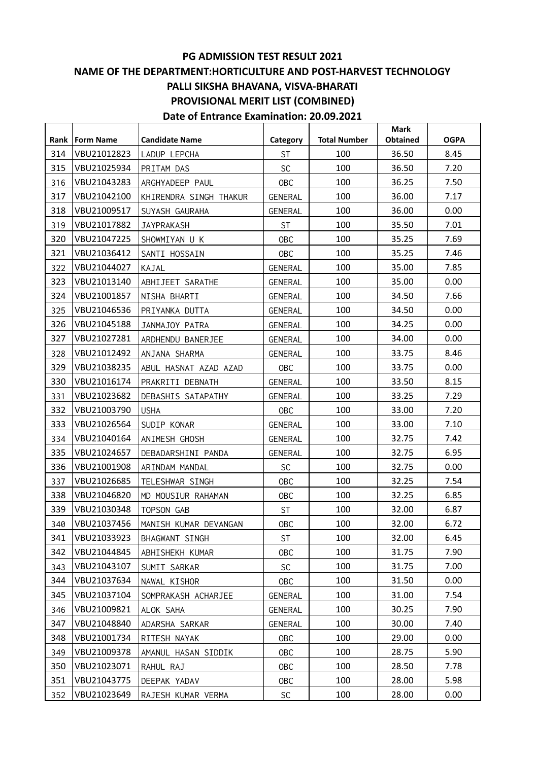**Date of Entrance Examination: 20.09.2021**

**Rank Form Name Candidate Name Category Total Number Mark Obtained OGPA** 314 VBU21012823 LADUP LEPCHA | ST | 100 | 36.50 | 8.45 315 | VBU21025934 | PRITAM DAS | SC | 100 | 36.50 | 7.20 316 VBU21043283 ARGHYADEEP PAUL | OBC | 100 | 36.25 | 7.50 317 VBU21042100 KHIRENDRA SINGH THAKUR GENERAL 100 | 36.00 | 7.17 318 | VBU21009517 | SUYASH GAURAHA | GENERAL | 100 | 36.00 | 0.00 319 VBU21017882 JAYPRAKASH ST 100 35.50 7.01 320 VBU21047225 SHOWMIYAN U K  $\begin{array}{|c|c|c|c|c|c|c|c|c|} \hline \end{array}$  0BC  $\begin{array}{|c|c|c|c|c|c|c|c|} \hline \end{array}$  35.25  $\begin{array}{|c|c|c|c|c|c|} \hline \end{array}$  7.69 321 VBU21036412 SANTI HOSSAIN | OBC | 100 | 35.25 | 7.46 322 VBU21044027 KAJAL GENERAL 100 35.00 7.85 323 VBU21013140 ABHIJEET SARATHE | GENERAL | 100 | 35.00 | 0.00 324 | VBU21001857 | NISHA BHARTI | GENERAL | 100 | 34.50 | 7.66 325 VBU21046536 PRIYANKA DUTTA (GENERAL 100 134.50 0.00 326 VBU21045188 JJANMAJOY PATRA | GENERAL | 100 | 34.25 | 0.00 327 VBU21027281 ARDHENDU BANERJEE | GENERAL | 100 | 34.00 | 0.00 328 VBU21012492 ANJANA SHARMA | GENERAL | 100 | 33.75 | 8.46 329 VBU21038235 ABUL HASNAT AZAD AZAD | OBC | 100 | 33.75 | 0.00 330 VBU21016174 PRAKRITI DEBNATH | GENERAL | 100 | 33.50 | 8.15 331 VBU21023682 DEBASHIS SATAPATHY | GENERAL | 100 | 33.25 | 7.29 332 VBU21003790 USHA OBC 100 33.00 7.20 333 VBU21026564 SUDIP KONAR GENERAL 100 133.00 7.10 334 VBU21040164 ANIMESH GHOSH GENERAL 100 132.75 7.42 335 VBU21024657 DEBADARSHINI PANDA (GENERAL 100 | 32.75 | 6.95 336 | VBU21001908 | ARINDAM MANDAL | SC | 100 | 32.75 | 0.00 337 VBU21026685 TELESHWAR SINGH | OBC | 100 | 32.25 | 7.54 338 VBU21046820 MD MOUSIUR RAHAMAN | OBC | 100 | 32.25 | 6.85 339 VBU21030348 TOPSON GAB T ST 100 32.00 6.87 340 VBU21037456 MANISH KUMAR DEVANGAN | OBC | 100 | 32.00 | 6.72 341 | VBU21033923 | BHAGWANT SINGH | ST | 100 | 32.00 | 6.45 342 | VBU21044845 | ABHISHEKH KUMAR | OBC | 100 | 31.75 | 7.90 343 VBU21043107 SUMIT SARKAR SC 100 31.75 7.00 344 | VBU21037634 | NAWAL KISHOR | OBC | 100 | 31.50 | 0.00 345 | VBU21037104 | SOMPRAKASH ACHARJEE | GENERAL | 100 | 31.00 | 7.54 346 VBU21009821 ALOK SAHA (GENERAL 100 130.25 7.90 347 | VBU21048840 | ADARSHA SARKAR | GENERAL | 100 | 30.00 | 7.40 348 | VBU21001734 | RITESH NAYAK | OBC | 100 | 29.00 | 0.00 349 VBU21009378 AMANUL HASAN SIDDIK | OBC | 100 | 28.75 | 5.90 350 VBU21023071 RAHUL RAJ OBC 100 28.50 7.78 351 | VBU21043775 | DEEPAK YADAV | OBC | 100 | 28.00 | 5.98

352 VBU21023649 RAJESH KUMAR VERMA | SC | 100 | 28.00 | 0.00